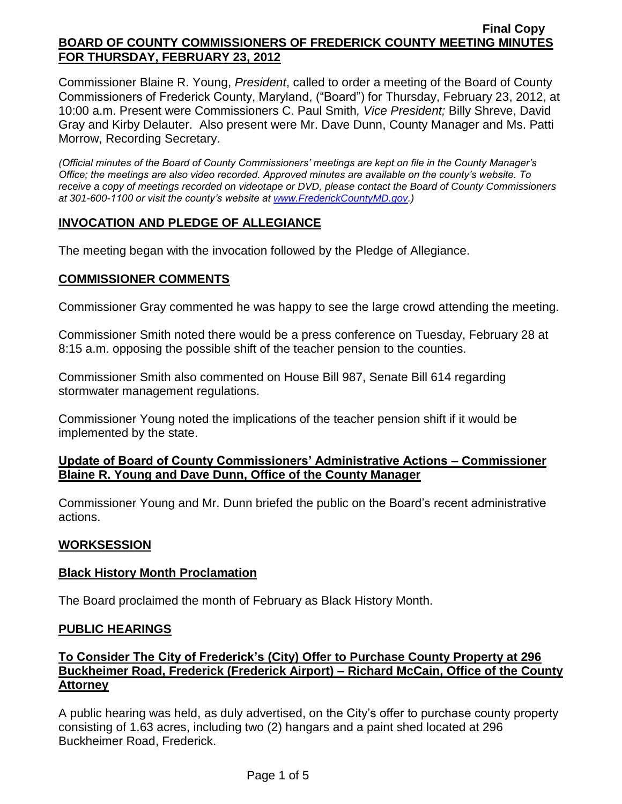Commissioner Blaine R. Young, *President*, called to order a meeting of the Board of County Commissioners of Frederick County, Maryland, ("Board") for Thursday, February 23, 2012, at 10:00 a.m. Present were Commissioners C. Paul Smith*, Vice President;* Billy Shreve, David Gray and Kirby Delauter. Also present were Mr. Dave Dunn, County Manager and Ms. Patti Morrow, Recording Secretary.

*(Official minutes of the Board of County Commissioners' meetings are kept on file in the County Manager's Office; the meetings are also video recorded. Approved minutes are available on the county's website. To receive a copy of meetings recorded on videotape or DVD, please contact the Board of County Commissioners at 301-600-1100 or visit the county's website at [www.FrederickCountyMD.gov.](http://www.frederickcountymd.gov/))*

# **INVOCATION AND PLEDGE OF ALLEGIANCE**

The meeting began with the invocation followed by the Pledge of Allegiance.

## **COMMISSIONER COMMENTS**

Commissioner Gray commented he was happy to see the large crowd attending the meeting.

Commissioner Smith noted there would be a press conference on Tuesday, February 28 at 8:15 a.m. opposing the possible shift of the teacher pension to the counties.

Commissioner Smith also commented on House Bill 987, Senate Bill 614 regarding stormwater management regulations.

Commissioner Young noted the implications of the teacher pension shift if it would be implemented by the state.

## **Update of Board of County Commissioners' Administrative Actions – Commissioner Blaine R. Young and Dave Dunn, Office of the County Manager**

Commissioner Young and Mr. Dunn briefed the public on the Board's recent administrative actions.

## **WORKSESSION**

## **Black History Month Proclamation**

The Board proclaimed the month of February as Black History Month.

## **PUBLIC HEARINGS**

# **To Consider The City of Frederick's (City) Offer to Purchase County Property at 296 Buckheimer Road, Frederick (Frederick Airport) – Richard McCain, Office of the County Attorney**

A public hearing was held, as duly advertised, on the City's offer to purchase county property consisting of 1.63 acres, including two (2) hangars and a paint shed located at 296 Buckheimer Road, Frederick.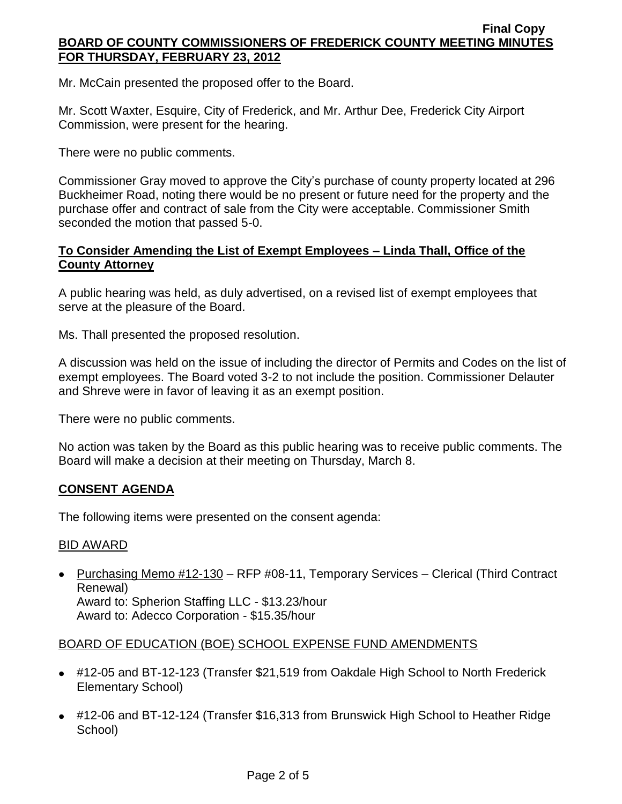Mr. McCain presented the proposed offer to the Board.

Mr. Scott Waxter, Esquire, City of Frederick, and Mr. Arthur Dee, Frederick City Airport Commission, were present for the hearing.

There were no public comments.

Commissioner Gray moved to approve the City's purchase of county property located at 296 Buckheimer Road, noting there would be no present or future need for the property and the purchase offer and contract of sale from the City were acceptable. Commissioner Smith seconded the motion that passed 5-0.

# **To Consider Amending the List of Exempt Employees – Linda Thall, Office of the County Attorney**

A public hearing was held, as duly advertised, on a revised list of exempt employees that serve at the pleasure of the Board.

Ms. Thall presented the proposed resolution.

A discussion was held on the issue of including the director of Permits and Codes on the list of exempt employees. The Board voted 3-2 to not include the position. Commissioner Delauter and Shreve were in favor of leaving it as an exempt position.

There were no public comments.

No action was taken by the Board as this public hearing was to receive public comments. The Board will make a decision at their meeting on Thursday, March 8.

## **CONSENT AGENDA**

The following items were presented on the consent agenda:

## BID AWARD

• Purchasing Memo #12-130 – RFP #08-11, Temporary Services – Clerical (Third Contract Renewal) Award to: Spherion Staffing LLC - \$13.23/hour

Award to: Adecco Corporation - \$15.35/hour

## BOARD OF EDUCATION (BOE) SCHOOL EXPENSE FUND AMENDMENTS

- #12-05 and BT-12-123 (Transfer \$21,519 from Oakdale High School to North Frederick Elementary School)
- #12-06 and BT-12-124 (Transfer \$16,313 from Brunswick High School to Heather Ridge School)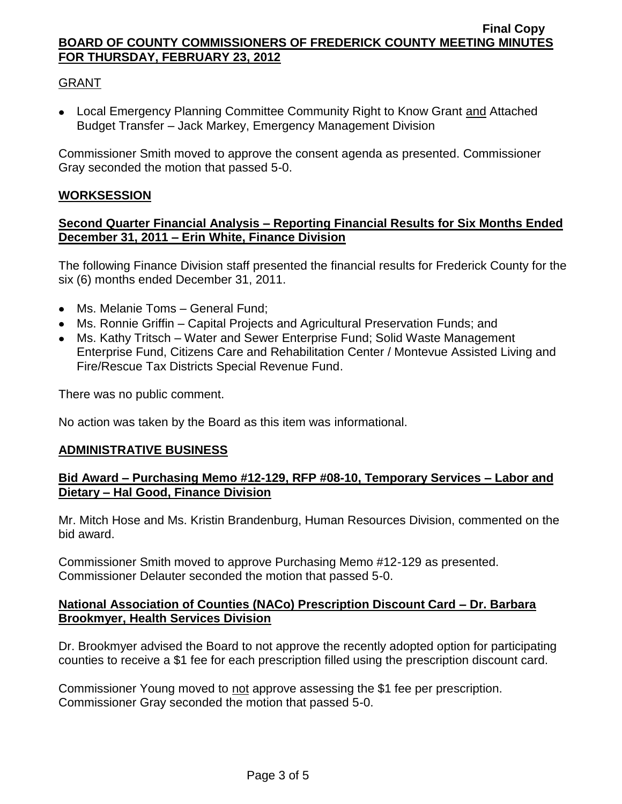# GRANT

Local Emergency Planning Committee Community Right to Know Grant and Attached Budget Transfer – Jack Markey, Emergency Management Division

Commissioner Smith moved to approve the consent agenda as presented. Commissioner Gray seconded the motion that passed 5-0.

### **WORKSESSION**

### **Second Quarter Financial Analysis – Reporting Financial Results for Six Months Ended December 31, 2011 – Erin White, Finance Division**

The following Finance Division staff presented the financial results for Frederick County for the six (6) months ended December 31, 2011.

- Ms. Melanie Toms General Fund:
- Ms. Ronnie Griffin Capital Projects and Agricultural Preservation Funds; and
- Ms. Kathy Tritsch Water and Sewer Enterprise Fund; Solid Waste Management Enterprise Fund, Citizens Care and Rehabilitation Center / Montevue Assisted Living and Fire/Rescue Tax Districts Special Revenue Fund.

There was no public comment.

No action was taken by the Board as this item was informational.

#### **ADMINISTRATIVE BUSINESS**

### **Bid Award – Purchasing Memo #12-129, RFP #08-10, Temporary Services – Labor and Dietary – Hal Good, Finance Division**

Mr. Mitch Hose and Ms. Kristin Brandenburg, Human Resources Division, commented on the bid award.

Commissioner Smith moved to approve Purchasing Memo #12-129 as presented. Commissioner Delauter seconded the motion that passed 5-0.

## **National Association of Counties (NACo) Prescription Discount Card – Dr. Barbara Brookmyer, Health Services Division**

Dr. Brookmyer advised the Board to not approve the recently adopted option for participating counties to receive a \$1 fee for each prescription filled using the prescription discount card.

Commissioner Young moved to not approve assessing the \$1 fee per prescription. Commissioner Gray seconded the motion that passed 5-0.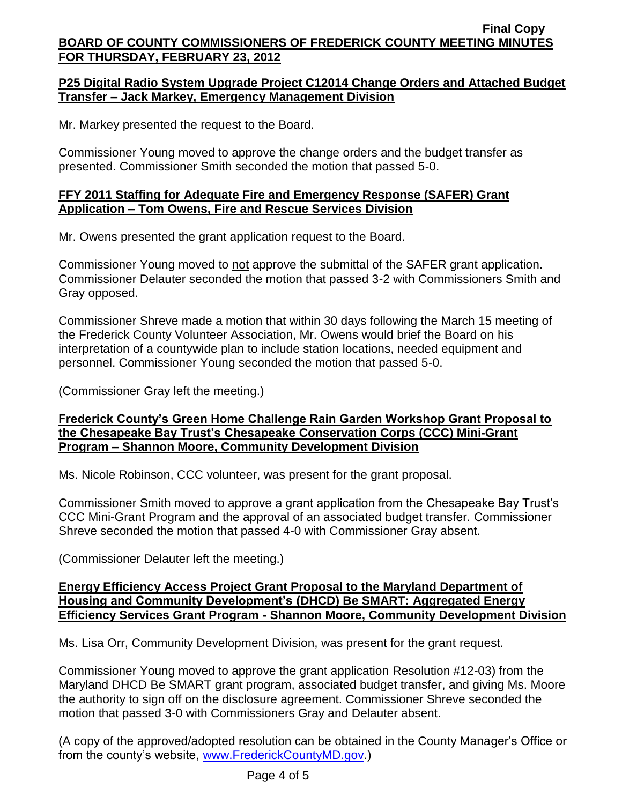# **P25 Digital Radio System Upgrade Project C12014 Change Orders and Attached Budget Transfer – Jack Markey, Emergency Management Division**

Mr. Markey presented the request to the Board.

Commissioner Young moved to approve the change orders and the budget transfer as presented. Commissioner Smith seconded the motion that passed 5-0.

# **FFY 2011 Staffing for Adequate Fire and Emergency Response (SAFER) Grant Application – Tom Owens, Fire and Rescue Services Division**

Mr. Owens presented the grant application request to the Board.

Commissioner Young moved to not approve the submittal of the SAFER grant application. Commissioner Delauter seconded the motion that passed 3-2 with Commissioners Smith and Gray opposed.

Commissioner Shreve made a motion that within 30 days following the March 15 meeting of the Frederick County Volunteer Association, Mr. Owens would brief the Board on his interpretation of a countywide plan to include station locations, needed equipment and personnel. Commissioner Young seconded the motion that passed 5-0.

(Commissioner Gray left the meeting.)

## **Frederick County's Green Home Challenge Rain Garden Workshop Grant Proposal to the Chesapeake Bay Trust's Chesapeake Conservation Corps (CCC) Mini-Grant Program – Shannon Moore, Community Development Division**

Ms. Nicole Robinson, CCC volunteer, was present for the grant proposal.

Commissioner Smith moved to approve a grant application from the Chesapeake Bay Trust's CCC Mini-Grant Program and the approval of an associated budget transfer. Commissioner Shreve seconded the motion that passed 4-0 with Commissioner Gray absent.

(Commissioner Delauter left the meeting.)

## **Energy Efficiency Access Project Grant Proposal to the Maryland Department of Housing and Community Development's (DHCD) Be SMART: Aggregated Energy Efficiency Services Grant Program - Shannon Moore, Community Development Division**

Ms. Lisa Orr, Community Development Division, was present for the grant request.

Commissioner Young moved to approve the grant application Resolution #12-03) from the Maryland DHCD Be SMART grant program, associated budget transfer, and giving Ms. Moore the authority to sign off on the disclosure agreement. Commissioner Shreve seconded the motion that passed 3-0 with Commissioners Gray and Delauter absent.

(A copy of the approved/adopted resolution can be obtained in the County Manager's Office or from the county's website, [www.FrederickCountyMD.gov.](http://www.frederickcountymd.gov/))